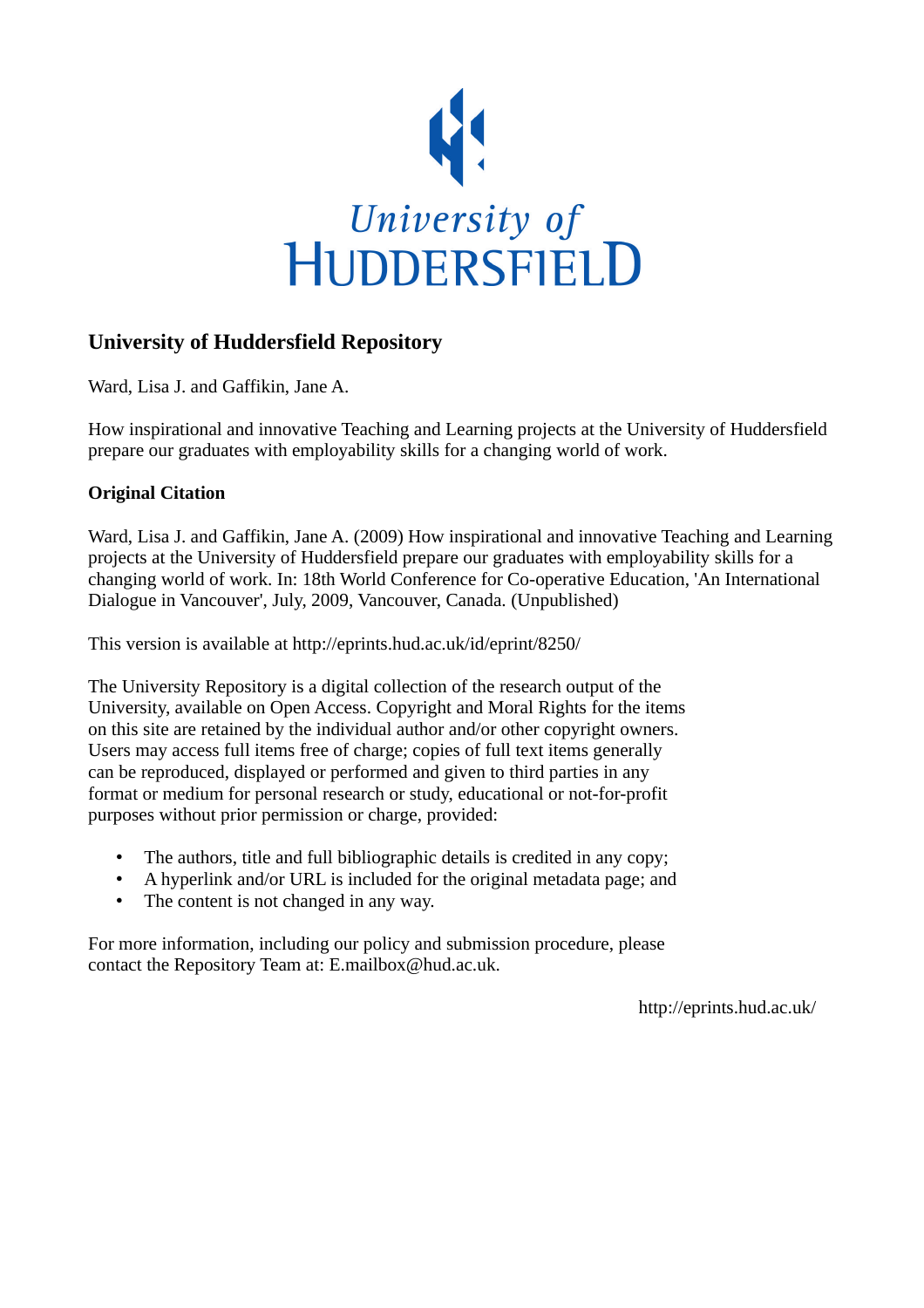

# **University of Huddersfield Repository**

Ward, Lisa J. and Gaffikin, Jane A.

How inspirational and innovative Teaching and Learning projects at the University of Huddersfield prepare our graduates with employability skills for a changing world of work.

## **Original Citation**

Ward, Lisa J. and Gaffikin, Jane A. (2009) How inspirational and innovative Teaching and Learning projects at the University of Huddersfield prepare our graduates with employability skills for a changing world of work. In: 18th World Conference for Co-operative Education, 'An International Dialogue in Vancouver', July, 2009, Vancouver, Canada. (Unpublished)

This version is available at http://eprints.hud.ac.uk/id/eprint/8250/

The University Repository is a digital collection of the research output of the University, available on Open Access. Copyright and Moral Rights for the items on this site are retained by the individual author and/or other copyright owners. Users may access full items free of charge; copies of full text items generally can be reproduced, displayed or performed and given to third parties in any format or medium for personal research or study, educational or not-for-profit purposes without prior permission or charge, provided:

- The authors, title and full bibliographic details is credited in any copy;
- A hyperlink and/or URL is included for the original metadata page; and
- The content is not changed in any way.

For more information, including our policy and submission procedure, please contact the Repository Team at: E.mailbox@hud.ac.uk.

http://eprints.hud.ac.uk/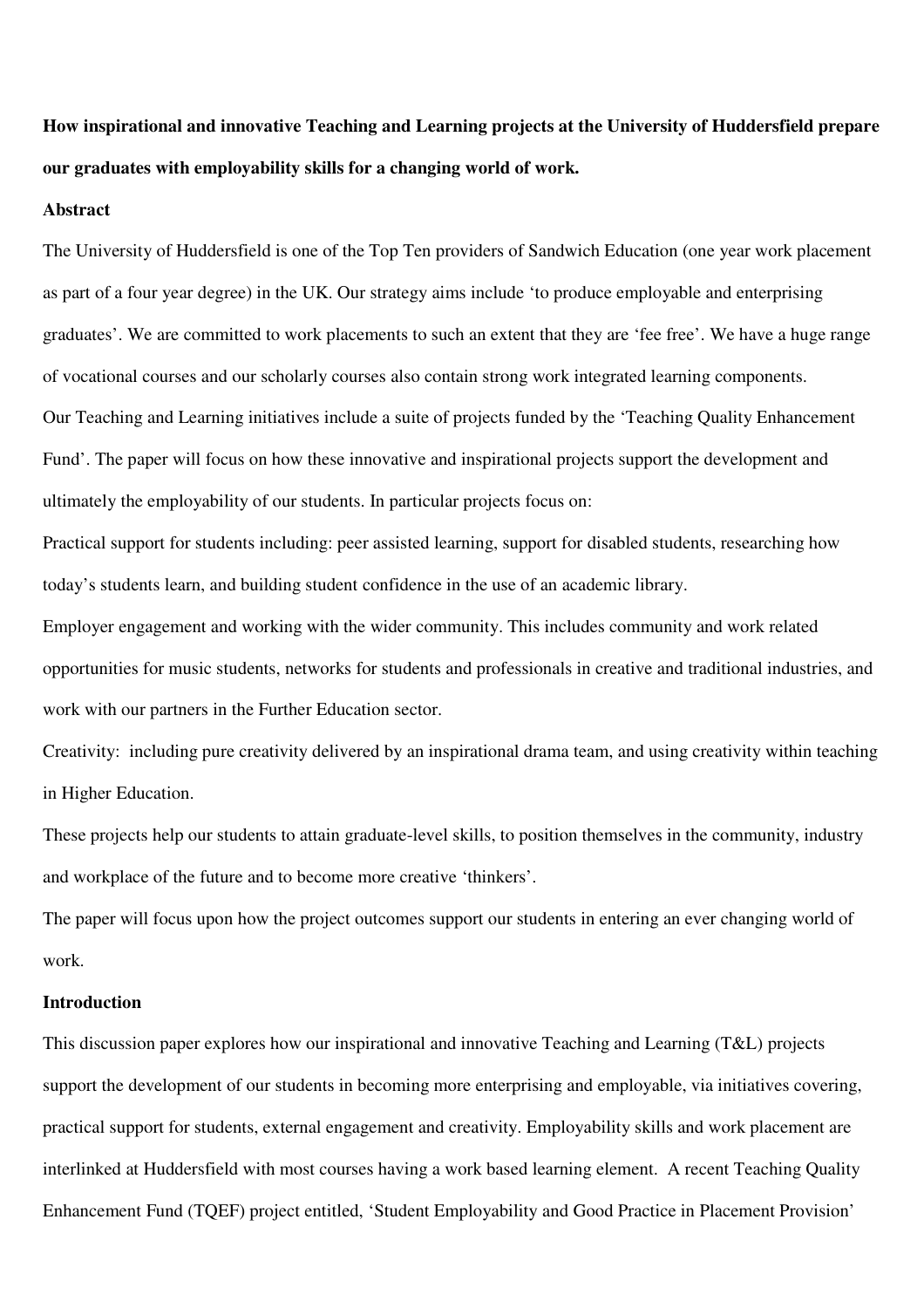**How inspirational and innovative Teaching and Learning projects at the University of Huddersfield prepare our graduates with employability skills for a changing world of work.** 

#### **Abstract**

The University of Huddersfield is one of the Top Ten providers of Sandwich Education (one year work placement as part of a four year degree) in the UK. Our strategy aims include 'to produce employable and enterprising graduates'. We are committed to work placements to such an extent that they are 'fee free'. We have a huge range of vocational courses and our scholarly courses also contain strong work integrated learning components. Our Teaching and Learning initiatives include a suite of projects funded by the 'Teaching Quality Enhancement Fund'. The paper will focus on how these innovative and inspirational projects support the development and ultimately the employability of our students. In particular projects focus on:

Practical support for students including: peer assisted learning, support for disabled students, researching how today's students learn, and building student confidence in the use of an academic library.

Employer engagement and working with the wider community. This includes community and work related opportunities for music students, networks for students and professionals in creative and traditional industries, and work with our partners in the Further Education sector.

Creativity: including pure creativity delivered by an inspirational drama team, and using creativity within teaching in Higher Education.

These projects help our students to attain graduate-level skills, to position themselves in the community, industry and workplace of the future and to become more creative 'thinkers'.

The paper will focus upon how the project outcomes support our students in entering an ever changing world of work.

#### **Introduction**

This discussion paper explores how our inspirational and innovative Teaching and Learning (T&L) projects support the development of our students in becoming more enterprising and employable, via initiatives covering, practical support for students, external engagement and creativity. Employability skills and work placement are interlinked at Huddersfield with most courses having a work based learning element. A recent Teaching Quality Enhancement Fund (TQEF) project entitled, 'Student Employability and Good Practice in Placement Provision'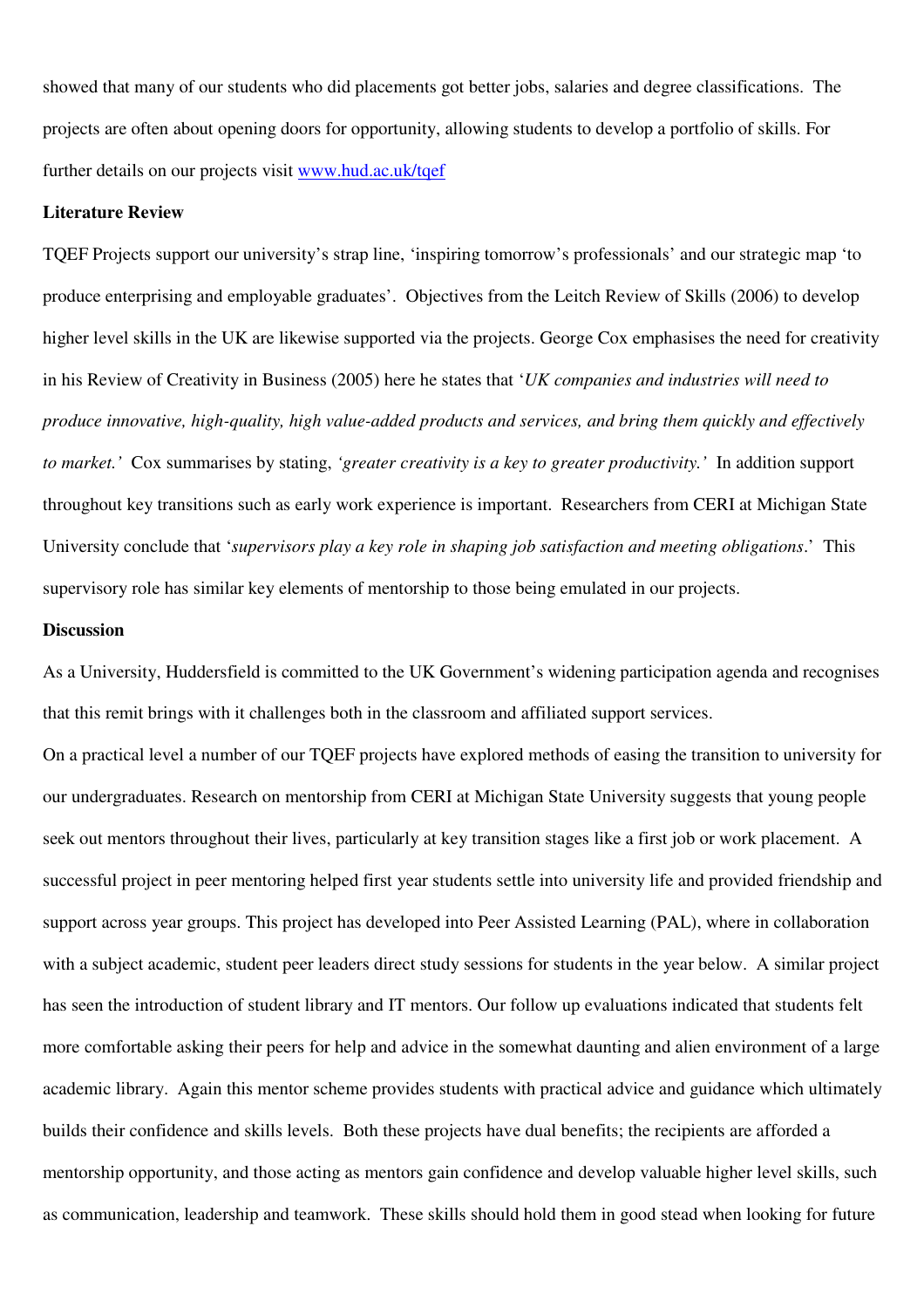showed that many of our students who did placements got better jobs, salaries and degree classifications. The projects are often about opening doors for opportunity, allowing students to develop a portfolio of skills. For further details on our projects visit www.hud.ac.uk/tqef

#### **Literature Review**

TQEF Projects support our university's strap line, 'inspiring tomorrow's professionals' and our strategic map 'to produce enterprising and employable graduates'. Objectives from the Leitch Review of Skills (2006) to develop higher level skills in the UK are likewise supported via the projects. George Cox emphasises the need for creativity in his Review of Creativity in Business (2005) here he states that '*UK companies and industries will need to produce innovative, high-quality, high value-added products and services, and bring them quickly and effectively to market.'* Cox summarises by stating, *'greater creativity is a key to greater productivity.'* In addition support throughout key transitions such as early work experience is important. Researchers from CERI at Michigan State University conclude that '*supervisors play a key role in shaping job satisfaction and meeting obligations*.' This supervisory role has similar key elements of mentorship to those being emulated in our projects.

### **Discussion**

As a University, Huddersfield is committed to the UK Government's widening participation agenda and recognises that this remit brings with it challenges both in the classroom and affiliated support services.

On a practical level a number of our TQEF projects have explored methods of easing the transition to university for our undergraduates. Research on mentorship from CERI at Michigan State University suggests that young people seek out mentors throughout their lives, particularly at key transition stages like a first job or work placement. A successful project in peer mentoring helped first year students settle into university life and provided friendship and support across year groups. This project has developed into Peer Assisted Learning (PAL), where in collaboration with a subject academic, student peer leaders direct study sessions for students in the year below. A similar project has seen the introduction of student library and IT mentors. Our follow up evaluations indicated that students felt more comfortable asking their peers for help and advice in the somewhat daunting and alien environment of a large academic library. Again this mentor scheme provides students with practical advice and guidance which ultimately builds their confidence and skills levels. Both these projects have dual benefits; the recipients are afforded a mentorship opportunity, and those acting as mentors gain confidence and develop valuable higher level skills, such as communication, leadership and teamwork. These skills should hold them in good stead when looking for future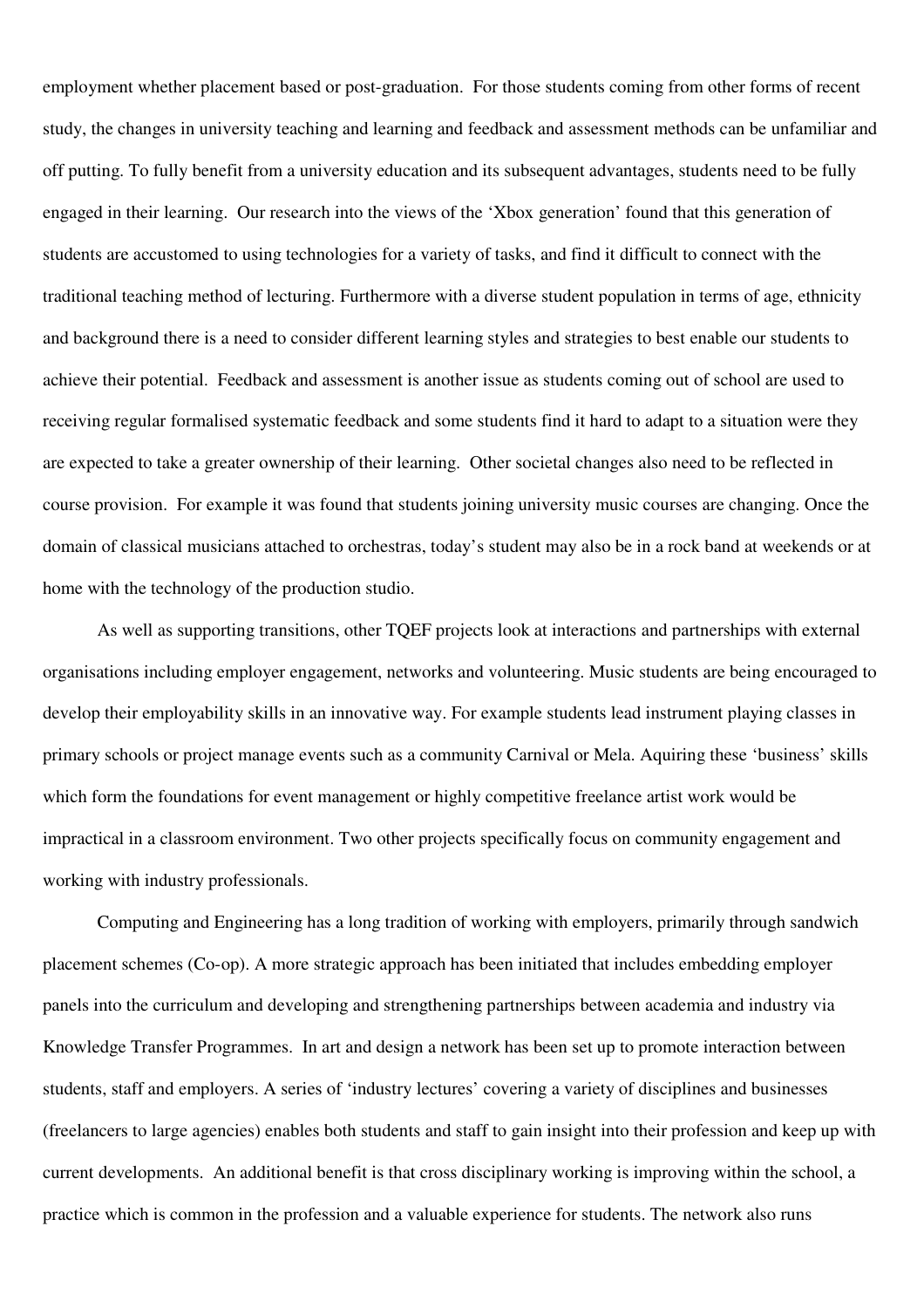employment whether placement based or post-graduation. For those students coming from other forms of recent study, the changes in university teaching and learning and feedback and assessment methods can be unfamiliar and off putting. To fully benefit from a university education and its subsequent advantages, students need to be fully engaged in their learning. Our research into the views of the 'Xbox generation' found that this generation of students are accustomed to using technologies for a variety of tasks, and find it difficult to connect with the traditional teaching method of lecturing. Furthermore with a diverse student population in terms of age, ethnicity and background there is a need to consider different learning styles and strategies to best enable our students to achieve their potential. Feedback and assessment is another issue as students coming out of school are used to receiving regular formalised systematic feedback and some students find it hard to adapt to a situation were they are expected to take a greater ownership of their learning. Other societal changes also need to be reflected in course provision. For example it was found that students joining university music courses are changing. Once the domain of classical musicians attached to orchestras, today's student may also be in a rock band at weekends or at home with the technology of the production studio.

As well as supporting transitions, other TQEF projects look at interactions and partnerships with external organisations including employer engagement, networks and volunteering. Music students are being encouraged to develop their employability skills in an innovative way. For example students lead instrument playing classes in primary schools or project manage events such as a community Carnival or Mela. Aquiring these 'business' skills which form the foundations for event management or highly competitive freelance artist work would be impractical in a classroom environment. Two other projects specifically focus on community engagement and working with industry professionals.

Computing and Engineering has a long tradition of working with employers, primarily through sandwich placement schemes (Co-op). A more strategic approach has been initiated that includes embedding employer panels into the curriculum and developing and strengthening partnerships between academia and industry via Knowledge Transfer Programmes. In art and design a network has been set up to promote interaction between students, staff and employers. A series of 'industry lectures' covering a variety of disciplines and businesses (freelancers to large agencies) enables both students and staff to gain insight into their profession and keep up with current developments. An additional benefit is that cross disciplinary working is improving within the school, a practice which is common in the profession and a valuable experience for students. The network also runs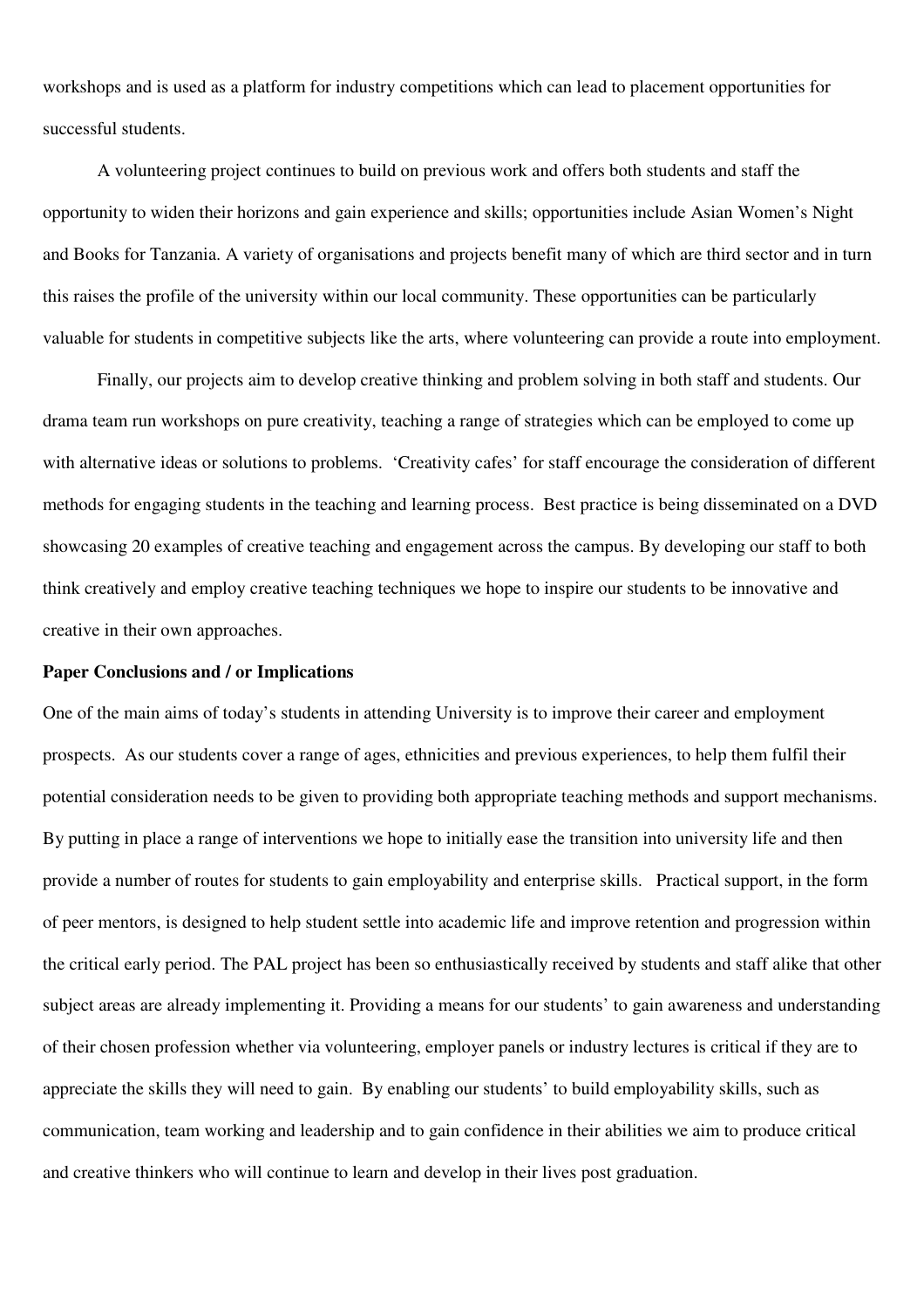workshops and is used as a platform for industry competitions which can lead to placement opportunities for successful students.

A volunteering project continues to build on previous work and offers both students and staff the opportunity to widen their horizons and gain experience and skills; opportunities include Asian Women's Night and Books for Tanzania. A variety of organisations and projects benefit many of which are third sector and in turn this raises the profile of the university within our local community. These opportunities can be particularly valuable for students in competitive subjects like the arts, where volunteering can provide a route into employment.

Finally, our projects aim to develop creative thinking and problem solving in both staff and students. Our drama team run workshops on pure creativity, teaching a range of strategies which can be employed to come up with alternative ideas or solutions to problems. 'Creativity cafes' for staff encourage the consideration of different methods for engaging students in the teaching and learning process. Best practice is being disseminated on a DVD showcasing 20 examples of creative teaching and engagement across the campus. By developing our staff to both think creatively and employ creative teaching techniques we hope to inspire our students to be innovative and creative in their own approaches.

#### **Paper Conclusions and / or Implications**

One of the main aims of today's students in attending University is to improve their career and employment prospects. As our students cover a range of ages, ethnicities and previous experiences, to help them fulfil their potential consideration needs to be given to providing both appropriate teaching methods and support mechanisms. By putting in place a range of interventions we hope to initially ease the transition into university life and then provide a number of routes for students to gain employability and enterprise skills. Practical support, in the form of peer mentors, is designed to help student settle into academic life and improve retention and progression within the critical early period. The PAL project has been so enthusiastically received by students and staff alike that other subject areas are already implementing it. Providing a means for our students' to gain awareness and understanding of their chosen profession whether via volunteering, employer panels or industry lectures is critical if they are to appreciate the skills they will need to gain. By enabling our students' to build employability skills, such as communication, team working and leadership and to gain confidence in their abilities we aim to produce critical and creative thinkers who will continue to learn and develop in their lives post graduation.